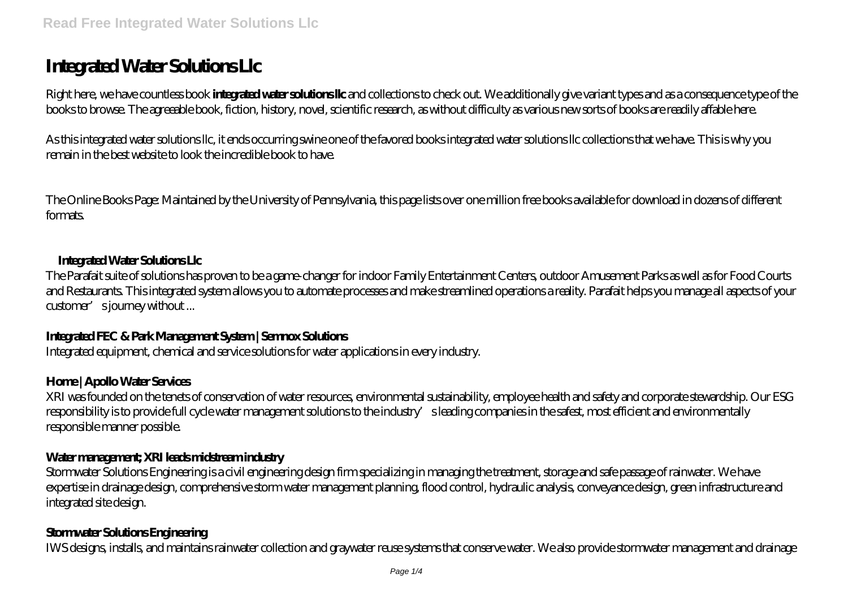# **Integrated Water Solutions Llc**

Right here, we have countless book **integrated water solutions llc** and collections to check out. We additionally give variant types and as a consequence type of the books to browse. The agreeable book, fiction, history, novel, scientific research, as without difficulty as various new sorts of books are readily affable here.

As this integrated water solutions llc, it ends occurring swine one of the favored books integrated water solutions llc collections that we have. This is why you remain in the best website to look the incredible book to have.

The Online Books Page: Maintained by the University of Pennsylvania, this page lists over one million free books available for download in dozens of different formats.

#### **Integrated Water Solutions Llc**

The Parafait suite of solutions has proven to be a game-changer for indoor Family Entertainment Centers, outdoor Amusement Parks as well as for Food Courts and Restaurants. This integrated system allows you to automate processes and make streamlined operations a reality. Parafait helps you manage all aspects of your customer's journey without ...

## **Integrated FEC & Park Management System | Semnox Solutions**

Integrated equipment, chemical and service solutions for water applications in every industry.

#### **Home | Apollo Water Services**

XRI was founded on the tenets of conservation of water resources, environmental sustainability, employee health and safety and corporate stewardship. Our ESG responsibility is to provide full cycle water management solutions to the industry's leading companies in the safest, most efficient and environmentally responsible manner possible.

#### **Water management; XRI leads midstream industry**

Stormwater Solutions Engineering is a civil engineering design firm specializing in managing the treatment, storage and safe passage of rainwater. We have expertise in drainage design, comprehensive storm water management planning, flood control, hydraulic analysis, conveyance design, green infrastructure and integrated site design.

## **Stormwater Solutions Engineering**

IWS designs, installs, and maintains rainwater collection and graywater reuse systems that conserve water. We also provide stormwater management and drainage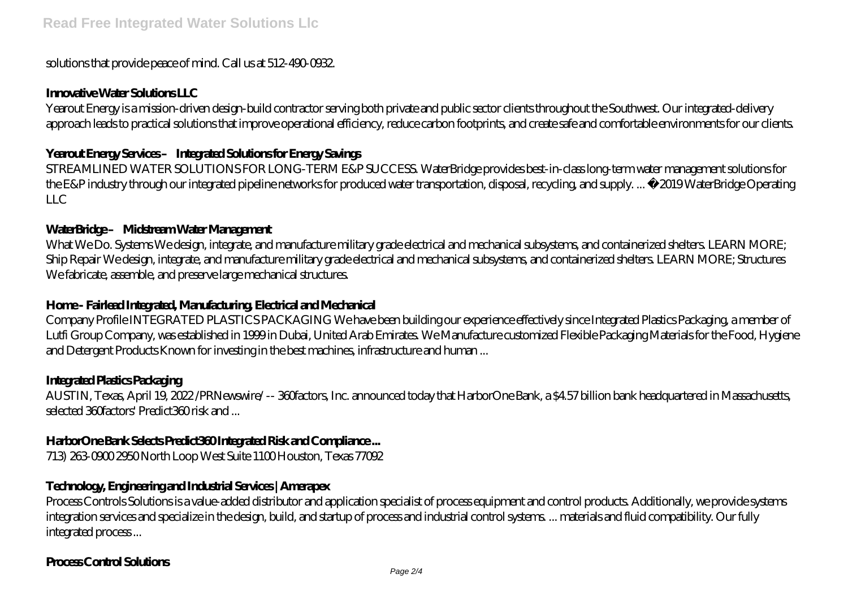#### solutions that provide peace of mind. Call us at 512-490-0932.

#### **Innovative Water Solutions LLC**

Yearout Energy is a mission-driven design-build contractor serving both private and public sector clients throughout the Southwest. Our integrated-delivery approach leads to practical solutions that improve operational efficiency, reduce carbon footprints, and create safe and comfortable environments for our clients.

## **Yearout Energy Services – Integrated Solutions for Energy Savings**

STREAMLINED WATER SOLUTIONS FOR LONG-TERM E&P SUCCESS. WaterBridge provides best-in-class long-term water management solutions for the E&P industry through our integrated pipeline networks for produced water transportation, disposal, recycling, and supply. ... © 2019 WaterBridge Operating LLC

#### WaterBridge-Midstream Water Management

What We Do. Systems We design, integrate, and manufacture military grade electrical and mechanical subsystems, and containerized shelters. LEARN MORE; Ship Repair We design, integrate, and manufacture military grade electrical and mechanical subsystems, and containerized shelters. LEARN MORE; Structures We fabricate, assemble, and preserve large mechanical structures.

## **Home - Fairlead Integrated, Manufacturing, Electrical and Mechanical**

Company Profile INTEGRATED PLASTICS PACKAGING We have been building our experience effectively since Integrated Plastics Packaging, a member of Lutfi Group Company, was established in 1999 in Dubai, United Arab Emirates. We Manufacture customized Flexible Packaging Materials for the Food, Hygiene and Detergent Products Known for investing in the best machines, infrastructure and human ...

#### **Integrated Plastics Packaging**

AUSTIN, Texas, April 19, 2022 /PRNewswire/ -- 360factors, Inc. announced today that HarborOne Bank, a \$4.57 billion bank headquartered in Massachusetts, selected 360factors' Predict360 risk and ...

## **HarborOne Bank Selects Predict360 Integrated Risk and Compliance ...**

713) 263-0900 2950 North Loop West Suite 1100 Houston, Texas 77092

## **Technology, Engineering and Industrial Services | Amerapex**

Process Controls Solutions is a value-added distributor and application specialist of process equipment and control products. Additionally, we provide systems integration services and specialize in the design, build, and startup of process and industrial control systems. ... materials and fluid compatibility. Our fully integrated process ...

## **Process Control Solutions**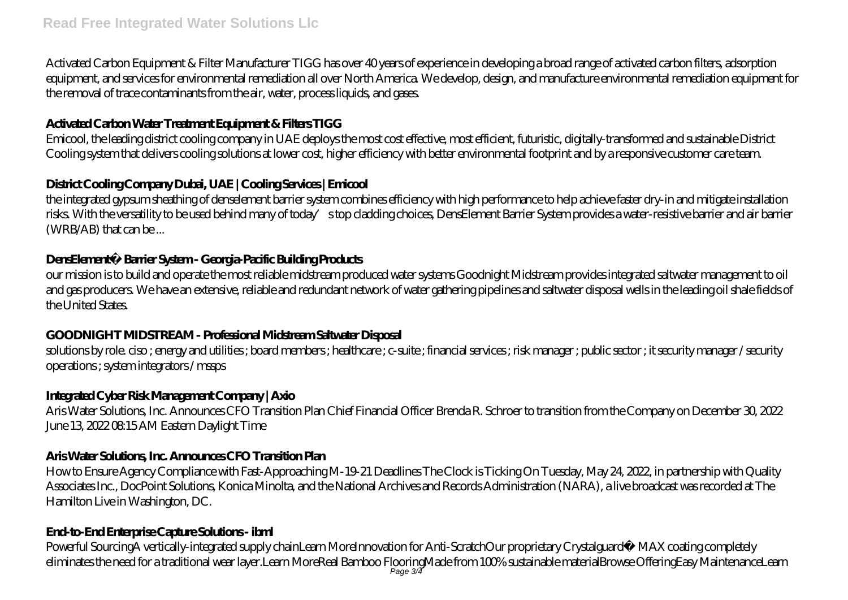Activated Carbon Equipment & Filter Manufacturer TIGG has over 40 years of experience in developing a broad range of activated carbon filters, adsorption equipment, and services for environmental remediation all over North America. We develop, design, and manufacture environmental remediation equipment for the removal of trace contaminants from the air, water, process liquids, and gases.

# **Activated Carbon Water Treatment Equipment & Filters TIGG**

Emicool, the leading district cooling company in UAE deploys the most cost effective, most efficient, futuristic, digitally-transformed and sustainable District Cooling system that delivers cooling solutions at lower cost, higher efficiency with better environmental footprint and by a responsive customer care team.

# **District Cooling Company Dubai, UAE | Cooling Services | Emicool**

the integrated gypsum sheathing of denselement barrier system combines efficiency with high performance to help achieve faster dry-in and mitigate installation risks. With the versatility to be used behind many of today's top cladding choices, DensElement Barrier System provides a water-resistive barrier and air barrier (WRB/AB) that can be ...

# **DensElement® Barrier System - Georgia-Pacific Building Products**

our mission is to build and operate the most reliable midstream produced water systems Goodnight Midstream provides integrated saltwater management to oil and gas producers. We have an extensive, reliable and redundant network of water gathering pipelines and saltwater disposal wells in the leading oil shale fields of the United States.

# **GOODNIGHT MIDSTREAM - Professional Midstream Saltwater Disposal**

solutions by role. ciso ; energy and utilities ; board members ; healthcare ; c-suite ; financial services ; risk manager ; public sector ; it security manager / security operations ; system integrators / mssps

# **Integrated Cyber Risk Management Company | Axio**

Aris Water Solutions, Inc. Announces CFO Transition Plan Chief Financial Officer Brenda R. Schroer to transition from the Company on December 30, 2022 June 13, 2022 08:15 AM Eastern Daylight Time

# **Aris Water Solutions, Inc. Announces CFO Transition Plan**

How to Ensure Agency Compliance with Fast-Approaching M-19-21 Deadlines The Clock is Ticking On Tuesday, May 24, 2022, in partnership with Quality Associates Inc., DocPoint Solutions, Konica Minolta, and the National Archives and Records Administration (NARA), a live broadcast was recorded at The Hamilton Live in Washington, DC.

# **End-to-End Enterprise Capture Solutions - ibml**

Powerful SourcingA vertically-integrated supply chainLearn MoreInnovation for Anti-ScratchOur proprietary Crystalguard™ MAX coating completely eliminates the need for a traditional wear layer.Learn MoreReal Bamboo FlooringMade from 100% sustainable materialBrowse OfferingEasy MaintenanceLearn Page 3/4